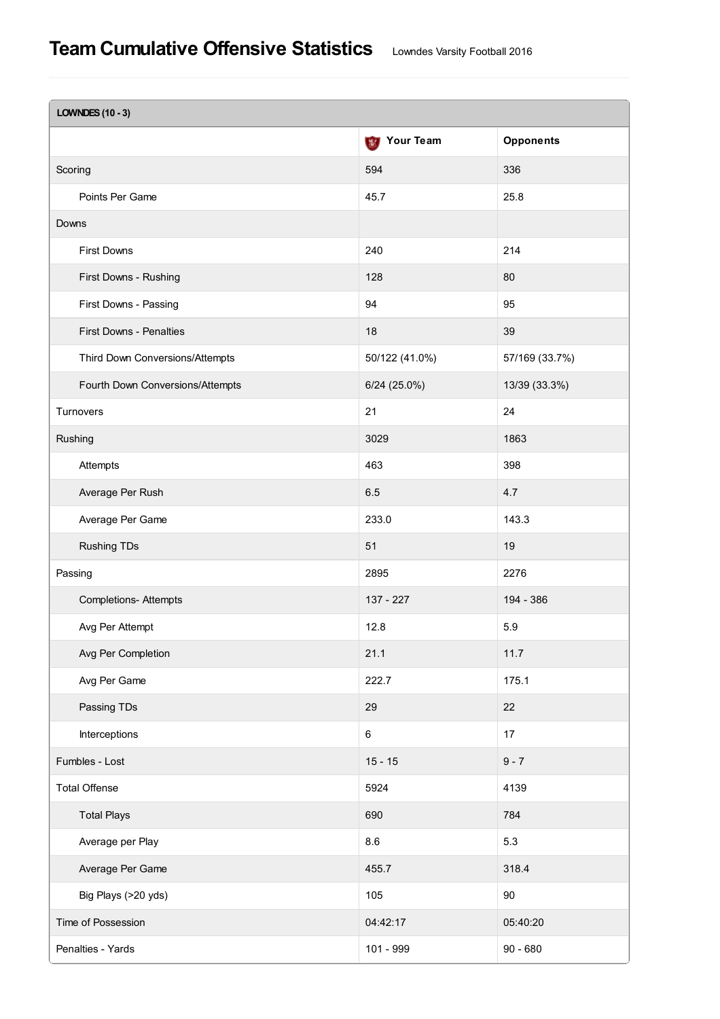| <b>LOWNDES (10 - 3)</b>          |                    |                  |  |  |  |  |
|----------------------------------|--------------------|------------------|--|--|--|--|
|                                  | <b>S</b> Your Team | <b>Opponents</b> |  |  |  |  |
| Scoring                          | 594                | 336              |  |  |  |  |
| Points Per Game                  | 45.7               | 25.8             |  |  |  |  |
| Downs                            |                    |                  |  |  |  |  |
| <b>First Downs</b>               | 240                | 214              |  |  |  |  |
| First Downs - Rushing            | 128                | 80               |  |  |  |  |
| First Downs - Passing            | 94                 | 95               |  |  |  |  |
| <b>First Downs - Penalties</b>   | 18                 | 39               |  |  |  |  |
| Third Down Conversions/Attempts  | 50/122 (41.0%)     | 57/169 (33.7%)   |  |  |  |  |
| Fourth Down Conversions/Attempts | $6/24$ (25.0%)     | 13/39 (33.3%)    |  |  |  |  |
| Turnovers                        | 21                 | 24               |  |  |  |  |
| Rushing                          | 3029               | 1863             |  |  |  |  |
| Attempts                         | 463                | 398              |  |  |  |  |
| Average Per Rush                 | 6.5                | 4.7              |  |  |  |  |
| Average Per Game                 | 233.0              | 143.3            |  |  |  |  |
| <b>Rushing TDs</b>               | 51                 | 19               |  |  |  |  |
| Passing                          | 2895               | 2276             |  |  |  |  |
| <b>Completions- Attempts</b>     | 137 - 227          | 194 - 386        |  |  |  |  |
| Avg Per Attempt                  | 12.8               | 5.9              |  |  |  |  |
| Avg Per Completion               | 21.1               | 11.7             |  |  |  |  |
| Avg Per Game                     | 222.7              | 175.1            |  |  |  |  |
| Passing TDs                      | 29                 | 22               |  |  |  |  |
| Interceptions                    | 6                  | 17               |  |  |  |  |
| Fumbles - Lost                   | $15 - 15$          | $9 - 7$          |  |  |  |  |
| <b>Total Offense</b>             | 5924               | 4139             |  |  |  |  |
| <b>Total Plays</b>               | 690                | 784              |  |  |  |  |
| Average per Play                 | 8.6                | 5.3              |  |  |  |  |
| Average Per Game                 | 455.7              | 318.4            |  |  |  |  |
| Big Plays (>20 yds)              | 105                | 90               |  |  |  |  |
| Time of Possession               | 04:42:17           | 05:40:20         |  |  |  |  |
| Penalties - Yards                | 101 - 999          | $90 - 680$       |  |  |  |  |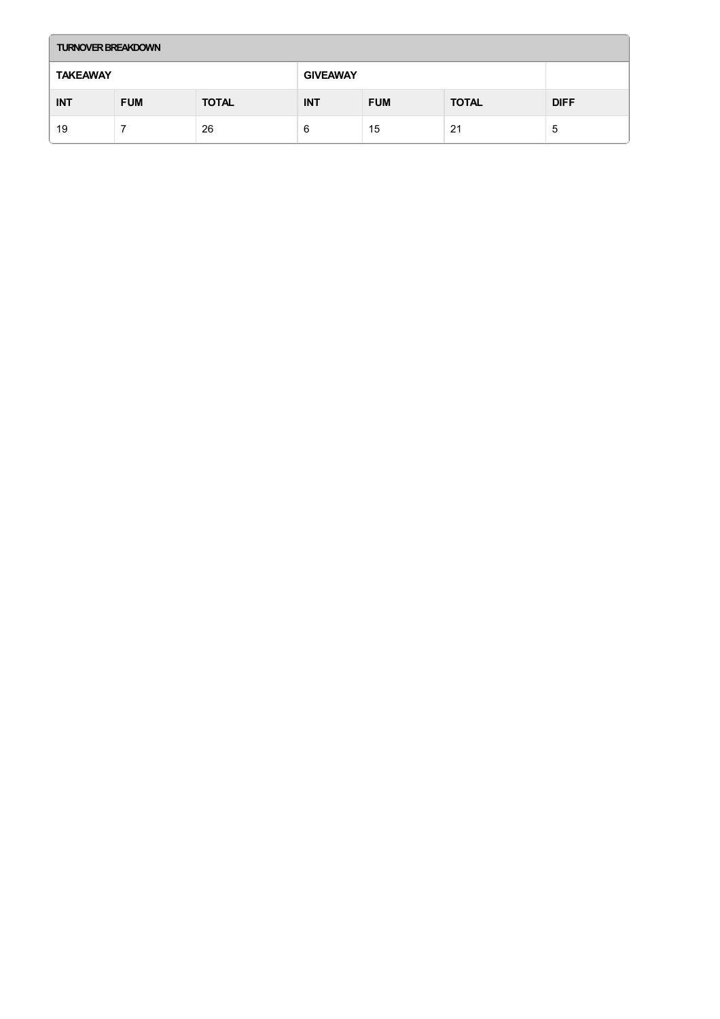| <b>TURNOVER BREAKDOWN</b> |            |              |                 |            |              |             |  |  |
|---------------------------|------------|--------------|-----------------|------------|--------------|-------------|--|--|
| <b>TAKEAWAY</b>           |            |              | <b>GIVEAWAY</b> |            |              |             |  |  |
| <b>INT</b>                | <b>FUM</b> | <b>TOTAL</b> | <b>INT</b>      | <b>FUM</b> | <b>TOTAL</b> | <b>DIFF</b> |  |  |
| 19                        |            | 26           | 6               | 15         | 21           | 'ს          |  |  |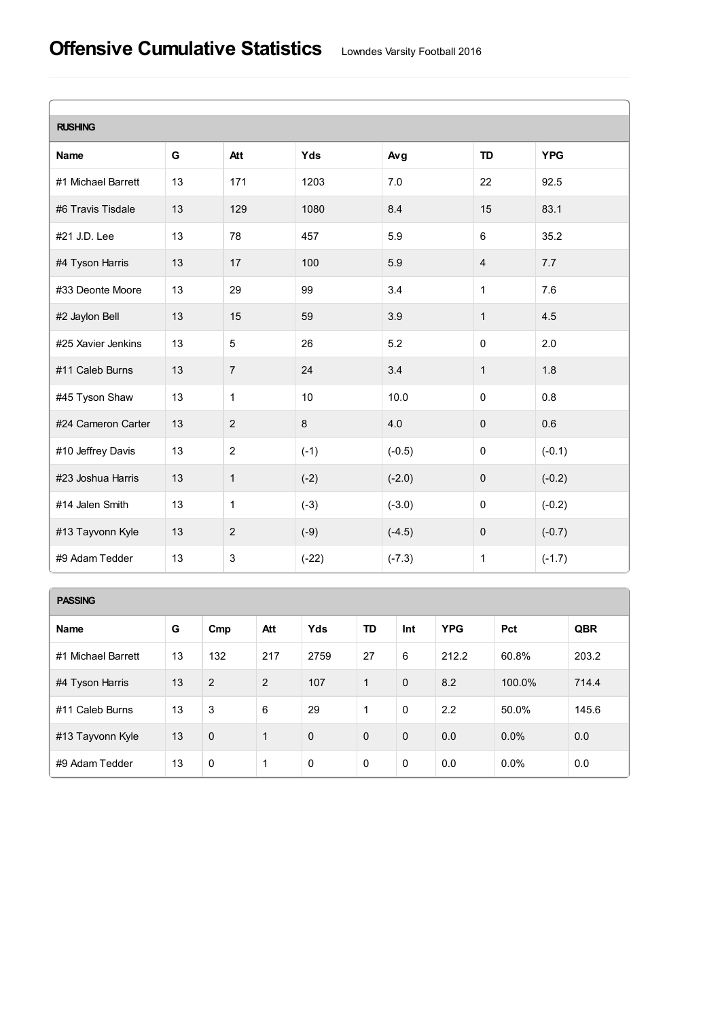## **Offensive Cumulative Statistics** Lowndes Varsity Football <sup>2016</sup>

| <b>RUSHING</b>     |    |                |         |          |                |            |  |  |  |
|--------------------|----|----------------|---------|----------|----------------|------------|--|--|--|
| <b>Name</b>        | G  | Att            | Yds     | Avg      | <b>TD</b>      | <b>YPG</b> |  |  |  |
| #1 Michael Barrett | 13 | 171            | 1203    | 7.0      | 22             | 92.5       |  |  |  |
| #6 Travis Tisdale  | 13 | 129            | 1080    | 8.4      | 15             | 83.1       |  |  |  |
| #21 J.D. Lee       | 13 | 78             | 457     | 5.9      | 6              | 35.2       |  |  |  |
| #4 Tyson Harris    | 13 | 17             | 100     | 5.9      | $\overline{4}$ | 7.7        |  |  |  |
| #33 Deonte Moore   | 13 | 29             | 99      | 3.4      | $\mathbf{1}$   | 7.6        |  |  |  |
| #2 Jaylon Bell     | 13 | 15             | 59      | 3.9      | $\mathbf{1}$   | 4.5        |  |  |  |
| #25 Xavier Jenkins | 13 | $\overline{5}$ | 26      | 5.2      | $\mathbf 0$    | 2.0        |  |  |  |
| #11 Caleb Burns    | 13 | $\overline{7}$ | 24      | 3.4      | $\mathbf{1}$   | 1.8        |  |  |  |
| #45 Tyson Shaw     | 13 | $\mathbf{1}$   | 10      | 10.0     | $\pmb{0}$      | 0.8        |  |  |  |
| #24 Cameron Carter | 13 | $\overline{2}$ | $\,8\,$ | 4.0      | $\pmb{0}$      | 0.6        |  |  |  |
| #10 Jeffrey Davis  | 13 | $\overline{c}$ | $(-1)$  | $(-0.5)$ | $\pmb{0}$      | $(-0.1)$   |  |  |  |
| #23 Joshua Harris  | 13 | $\mathbf{1}$   | $(-2)$  | $(-2.0)$ | $\mathbf 0$    | $(-0.2)$   |  |  |  |
| #14 Jalen Smith    | 13 | $\mathbf{1}$   | $(-3)$  | $(-3.0)$ | $\pmb{0}$      | $(-0.2)$   |  |  |  |
| #13 Tayvonn Kyle   | 13 | $\overline{2}$ | $(-9)$  | $(-4.5)$ | $\pmb{0}$      | $(-0.7)$   |  |  |  |
| #9 Adam Tedder     | 13 | $\sqrt{3}$     | $(-22)$ | $(-7.3)$ | $\mathbf{1}$   | $(-1.7)$   |  |  |  |

## **PASSING**

| <b>Name</b>        | G  | Cmp         | Att | Yds         | TD           | Int         | <b>YPG</b> | Pct     | <b>QBR</b> |
|--------------------|----|-------------|-----|-------------|--------------|-------------|------------|---------|------------|
| #1 Michael Barrett | 13 | 132         | 217 | 2759        | 27           | 6           | 212.2      | 60.8%   | 203.2      |
| #4 Tyson Harris    | 13 | 2           | 2   | 107         | $\mathbf{1}$ | $\Omega$    | 8.2        | 100.0%  | 714.4      |
| #11 Caleb Burns    | 13 | 3           | 6   | 29          | 1            | $\mathbf 0$ | 2.2        | 50.0%   | 145.6      |
| #13 Tayvonn Kyle   | 13 | $\mathbf 0$ | 1   | $\mathbf 0$ | $\mathbf{0}$ | $\mathbf 0$ | 0.0        | 0.0%    | 0.0        |
| #9 Adam Tedder     | 13 | $\mathbf 0$ | 1   | $\mathbf 0$ | $\Omega$     | $\mathbf 0$ | 0.0        | $0.0\%$ | 0.0        |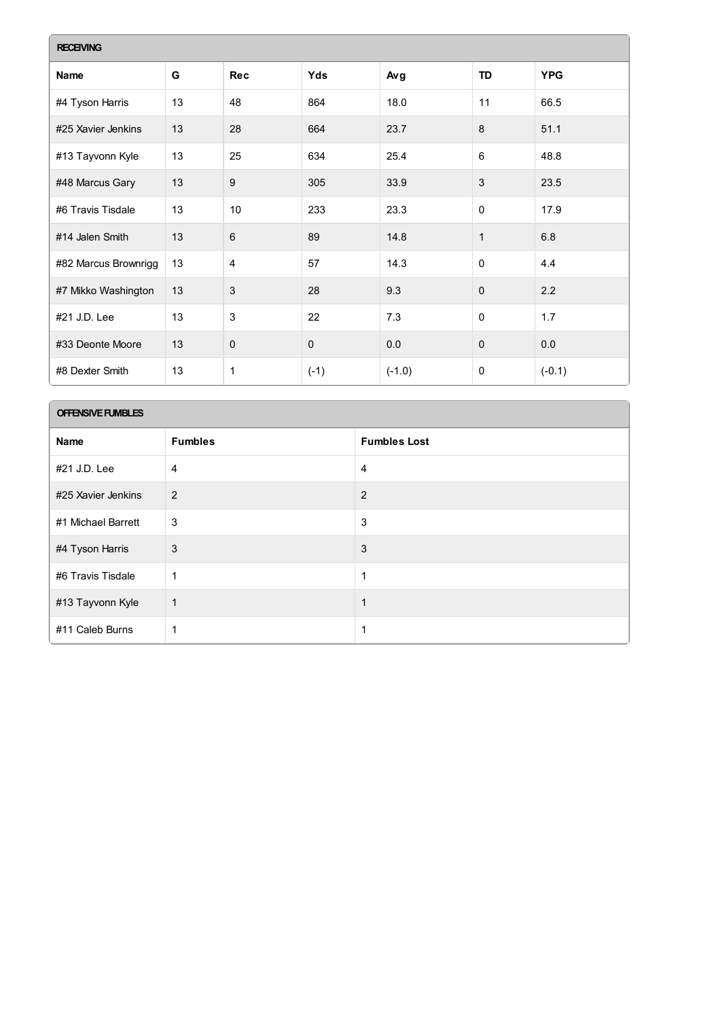| <b>RECEIVING</b>     |    |                |             |          |              |            |  |  |
|----------------------|----|----------------|-------------|----------|--------------|------------|--|--|
| Name                 | G  | <b>Rec</b>     | Yds         | Avg      | TD           | <b>YPG</b> |  |  |
| #4 Tyson Harris      | 13 | 48             | 864         | 18.0     | 11           | 66.5       |  |  |
| #25 Xavier Jenkins   | 13 | 28             | 664         | 23.7     | 8            | 51.1       |  |  |
| #13 Tayvonn Kyle     | 13 | 25             | 634         | 25.4     | 6            | 48.8       |  |  |
| #48 Marcus Gary      | 13 | $9\,$          | 305         | 33.9     | 3            | 23.5       |  |  |
| #6 Travis Tisdale    | 13 | 10             | 233         | 23.3     | $\mathbf 0$  | 17.9       |  |  |
| #14 Jalen Smith      | 13 | 6              | 89          | 14.8     | $\mathbf{1}$ | 6.8        |  |  |
| #82 Marcus Brownrigg | 13 | $\overline{4}$ | 57          | 14.3     | $\mathbf 0$  | 4.4        |  |  |
| #7 Mikko Washington  | 13 | $\sqrt{3}$     | 28          | 9.3      | $\Omega$     | 2.2        |  |  |
| #21 J.D. Lee         | 13 | 3              | 22          | 7.3      | $\mathbf 0$  | 1.7        |  |  |
| #33 Deonte Moore     | 13 | $\mathbf 0$    | $\mathbf 0$ | 0.0      | $\mathbf 0$  | 0.0        |  |  |
| #8 Dexter Smith      | 13 | 1              | $(-1)$      | $(-1.0)$ | 0            | $(-0.1)$   |  |  |

## **OFFENSIVEFUMBLES**

| Name               | <b>Fumbles</b> | <b>Fumbles Lost</b> |
|--------------------|----------------|---------------------|
| #21 J.D. Lee       | $\overline{4}$ | 4                   |
| #25 Xavier Jenkins | 2              | 2                   |
| #1 Michael Barrett | 3              | 3                   |
| #4 Tyson Harris    | 3              | 3                   |
| #6 Travis Tisdale  | 1              | 1                   |
| #13 Tayvonn Kyle   | 1              | 1                   |
| #11 Caleb Burns    |                | 1                   |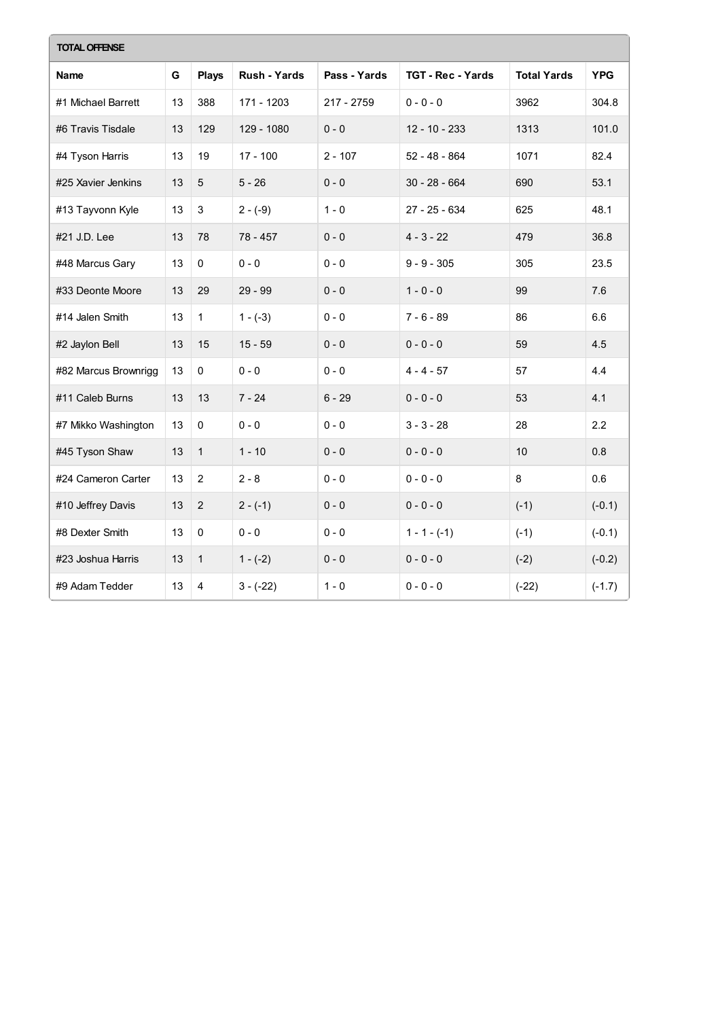| <b>TOTAL OFFENSE</b> |    |                |                     |              |                          |                    |            |  |  |
|----------------------|----|----------------|---------------------|--------------|--------------------------|--------------------|------------|--|--|
| Name                 | G  | <b>Plays</b>   | <b>Rush - Yards</b> | Pass - Yards | <b>TGT - Rec - Yards</b> | <b>Total Yards</b> | <b>YPG</b> |  |  |
| #1 Michael Barrett   | 13 | 388            | 171 - 1203          | 217 - 2759   | $0 - 0 - 0$              | 3962               | 304.8      |  |  |
| #6 Travis Tisdale    | 13 | 129            | 129 - 1080          | $0 - 0$      | $12 - 10 - 233$          | 1313               | 101.0      |  |  |
| #4 Tyson Harris      | 13 | 19             | $17 - 100$          | $2 - 107$    | $52 - 48 - 864$          | 1071               | 82.4       |  |  |
| #25 Xavier Jenkins   | 13 | $\overline{5}$ | $5 - 26$            | $0 - 0$      | $30 - 28 - 664$          | 690                | 53.1       |  |  |
| #13 Tayvonn Kyle     | 13 | $\sqrt{3}$     | $2 - (-9)$          | $1 - 0$      | 27 - 25 - 634            | 625                | 48.1       |  |  |
| #21 J.D. Lee         | 13 | 78             | $78 - 457$          | $0 - 0$      | $4 - 3 - 22$             | 479                | 36.8       |  |  |
| #48 Marcus Gary      | 13 | $\Omega$       | $0 - 0$             | $0 - 0$      | $9 - 9 - 305$            | 305                | 23.5       |  |  |
| #33 Deonte Moore     | 13 | 29             | $29 - 99$           | $0 - 0$      | $1 - 0 - 0$              | 99                 | 7.6        |  |  |
| #14 Jalen Smith      | 13 | $\mathbf{1}$   | $1 - (-3)$          | $0 - 0$      | $7 - 6 - 89$             | 86                 | 6.6        |  |  |
| #2 Jaylon Bell       | 13 | 15             | $15 - 59$           | $0 - 0$      | $0 - 0 - 0$              | 59                 | 4.5        |  |  |
| #82 Marcus Brownrigg | 13 | $\mathbf 0$    | $0 - 0$             | $0 - 0$      | $4 - 4 - 57$             | 57                 | 4.4        |  |  |
| #11 Caleb Burns      | 13 | 13             | $7 - 24$            | $6 - 29$     | $0 - 0 - 0$              | 53                 | 4.1        |  |  |
| #7 Mikko Washington  | 13 | $\mathsf 0$    | $0 - 0$             | $0 - 0$      | $3 - 3 - 28$             | 28                 | 2.2        |  |  |
| #45 Tyson Shaw       | 13 | $\mathbf{1}$   | $1 - 10$            | $0 - 0$      | $0 - 0 - 0$              | 10                 | 0.8        |  |  |
| #24 Cameron Carter   | 13 | 2              | $2 - 8$             | $0 - 0$      | $0 - 0 - 0$              | 8                  | 0.6        |  |  |
| #10 Jeffrey Davis    | 13 | 2              | $2 - (-1)$          | $0 - 0$      | $0 - 0 - 0$              | $(-1)$             | $(-0.1)$   |  |  |
| #8 Dexter Smith      | 13 | $\mathbf{0}$   | $0 - 0$             | $0 - 0$      | $1 - 1 - (-1)$           | $(-1)$             | $(-0.1)$   |  |  |
| #23 Joshua Harris    | 13 | $\mathbf{1}$   | $1 - (-2)$          | $0 - 0$      | $0 - 0 - 0$              | $(-2)$             | $(-0.2)$   |  |  |
| #9 Adam Tedder       | 13 | $\overline{4}$ | $3 - (-22)$         | $1 - 0$      | $0 - 0 - 0$              | $(-22)$            | $(-1.7)$   |  |  |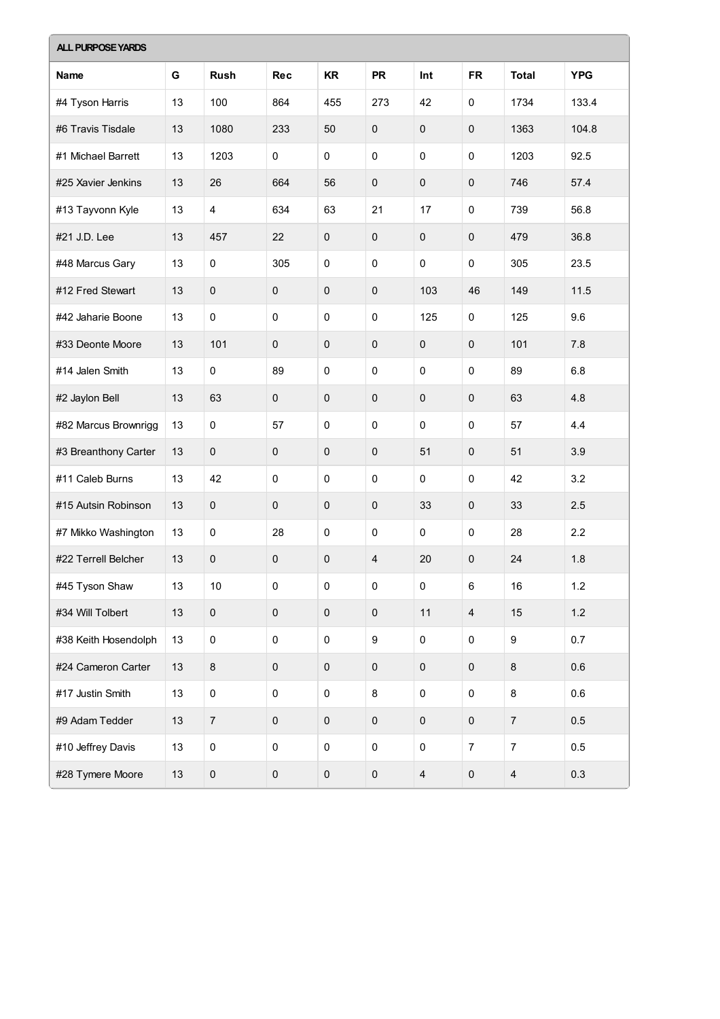| <b>ALL PURPOSE YARDS</b> |    |                  |             |             |                  |                         |                  |                         |            |
|--------------------------|----|------------------|-------------|-------------|------------------|-------------------------|------------------|-------------------------|------------|
| Name                     | G  | <b>Rush</b>      | <b>Rec</b>  | <b>KR</b>   | <b>PR</b>        | Int                     | <b>FR</b>        | <b>Total</b>            | <b>YPG</b> |
| #4 Tyson Harris          | 13 | 100              | 864         | 455         | 273              | 42                      | 0                | 1734                    | 133.4      |
| #6 Travis Tisdale        | 13 | 1080             | 233         | 50          | $\boldsymbol{0}$ | 0                       | $\pmb{0}$        | 1363                    | 104.8      |
| #1 Michael Barrett       | 13 | 1203             | $\pmb{0}$   | $\pmb{0}$   | 0                | 0                       | $\mathbf 0$      | 1203                    | 92.5       |
| #25 Xavier Jenkins       | 13 | 26               | 664         | 56          | $\pmb{0}$        | $\pmb{0}$               | $\pmb{0}$        | 746                     | 57.4       |
| #13 Tayvonn Kyle         | 13 | $\overline{4}$   | 634         | 63          | 21               | 17                      | $\mathbf 0$      | 739                     | 56.8       |
| #21 J.D. Lee             | 13 | 457              | 22          | $\mathbf 0$ | $\mathbf 0$      | 0                       | $\pmb{0}$        | 479                     | 36.8       |
| #48 Marcus Gary          | 13 | 0                | 305         | 0           | 0                | 0                       | $\mathbf 0$      | 305                     | 23.5       |
| #12 Fred Stewart         | 13 | $\mathbf 0$      | $\pmb{0}$   | $\pmb{0}$   | $\mathbf 0$      | 103                     | 46               | 149                     | 11.5       |
| #42 Jaharie Boone        | 13 | 0                | $\mathbf 0$ | $\pmb{0}$   | 0                | 125                     | $\mathbf 0$      | 125                     | 9.6        |
| #33 Deonte Moore         | 13 | 101              | $\pmb{0}$   | $\mathbf 0$ | $\mathbf 0$      | 0                       | $\mathbf{0}$     | 101                     | 7.8        |
| #14 Jalen Smith          | 13 | 0                | 89          | $\mathbf 0$ | $\mathbf 0$      | 0                       | $\mathbf 0$      | 89                      | 6.8        |
| #2 Jaylon Bell           | 13 | 63               | $\mathbf 0$ | $\pmb{0}$   | $\mathbf 0$      | $\pmb{0}$               | $\pmb{0}$        | 63                      | 4.8        |
| #82 Marcus Brownrigg     | 13 | $\mathsf 0$      | 57          | $\pmb{0}$   | 0                | 0                       | $\mathbf 0$      | 57                      | 4.4        |
| #3 Breanthony Carter     | 13 | $\mathbf 0$      | $\pmb{0}$   | $\pmb{0}$   | $\mathbf 0$      | 51                      | $\mathbf 0$      | 51                      | 3.9        |
| #11 Caleb Burns          | 13 | 42               | $\mathbf 0$ | 0           | 0                | 0                       | $\mathbf 0$      | 42                      | 3.2        |
| #15 Autsin Robinson      | 13 | $\pmb{0}$        | 0           | $\pmb{0}$   | $\mathbf 0$      | 33                      | $\mathbf 0$      | 33                      | 2.5        |
| #7 Mikko Washington      | 13 | $\pmb{0}$        | 28          | 0           | 0                | 0                       | $\mathbf 0$      | 28                      | 2.2        |
| #22 Terrell Belcher      | 13 | $\mathbf 0$      | 0           | $\pmb{0}$   | $\overline{4}$   | 20                      | $\mathbf 0$      | 24                      | 1.8        |
| #45 Tyson Shaw           | 13 | $10$             | $\mathbf 0$ | 0           | $\pmb{0}$        | $\pmb{0}$               | $\,6\,$          | 16                      | 1.2        |
| #34 Will Tolbert         | 13 | $\mathbf 0$      | $\pmb{0}$   | $\pmb{0}$   | $\pmb{0}$        | 11                      | $\overline{4}$   | 15                      | $1.2$      |
| #38 Keith Hosendolph     | 13 | $\pmb{0}$        | $\pmb{0}$   | $\pmb{0}$   | 9                | 0                       | $\mathbf 0$      | $\boldsymbol{9}$        | 0.7        |
| #24 Cameron Carter       | 13 | $\bf 8$          | $\pmb{0}$   | $\pmb{0}$   | $\pmb{0}$        | $\pmb{0}$               | $\pmb{0}$        | $\,8\,$                 | 0.6        |
| #17 Justin Smith         | 13 | $\pmb{0}$        | $\pmb{0}$   | $\pmb{0}$   | 8                | 0                       | $\mathbf 0$      | 8                       | 0.6        |
| #9 Adam Tedder           | 13 | $\boldsymbol{7}$ | $\pmb{0}$   | $\pmb{0}$   | $\pmb{0}$        | $\pmb{0}$               | $\mathbf 0$      | $\sqrt{7}$              | 0.5        |
| #10 Jeffrey Davis        | 13 | $\pmb{0}$        | $\pmb{0}$   | $\pmb{0}$   | $\mathsf 0$      | $\pmb{0}$               | $\boldsymbol{7}$ | $\boldsymbol{7}$        | 0.5        |
| #28 Tymere Moore         | 13 | $\pmb{0}$        | $\pmb{0}$   | $\pmb{0}$   | $\pmb{0}$        | $\overline{\mathbf{4}}$ | $\pmb{0}$        | $\overline{\mathbf{4}}$ | 0.3        |